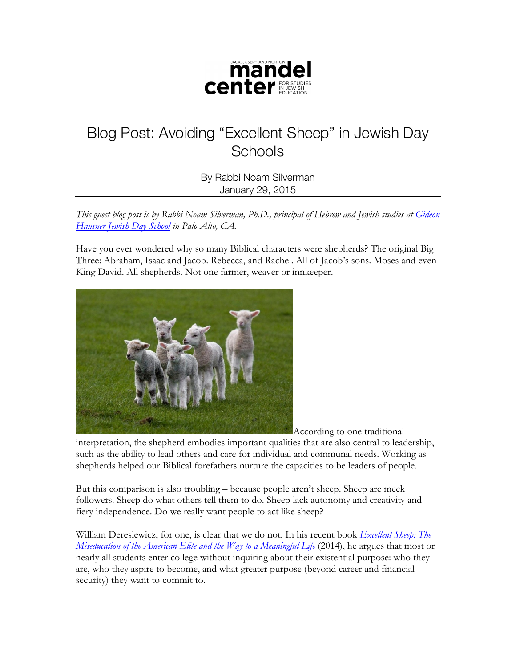

## Blog Post: Avoiding "Excellent Sheep" in Jewish Day **Schools**

By Rabbi Noam Silverman January 29, 2015

*This guest blog post is by Rabbi Noam Silverman, Ph.D., principal of Hebrew and Jewish studies at Gideon Hausner Jewish Day School in Palo Alto, CA.*

Have you ever wondered why so many Biblical characters were shepherds? The original Big Three: Abraham, Isaac and Jacob. Rebecca, and Rachel. All of Jacob's sons. Moses and even King David. All shepherds. Not one farmer, weaver or innkeeper.



According to one traditional

interpretation, the shepherd embodies important qualities that are also central to leadership, such as the ability to lead others and care for individual and communal needs. Working as shepherds helped our Biblical forefathers nurture the capacities to be leaders of people.

But this comparison is also troubling – because people aren't sheep. Sheep are meek followers. Sheep do what others tell them to do. Sheep lack autonomy and creativity and fiery independence. Do we really want people to act like sheep?

William Deresiewicz, for one, is clear that we do not. In his recent book *Excellent Sheep: The Miseducation of the American Elite and the Way to a Meaningful Life* (2014), he argues that most or nearly all students enter college without inquiring about their existential purpose: who they are, who they aspire to become, and what greater purpose (beyond career and financial security) they want to commit to.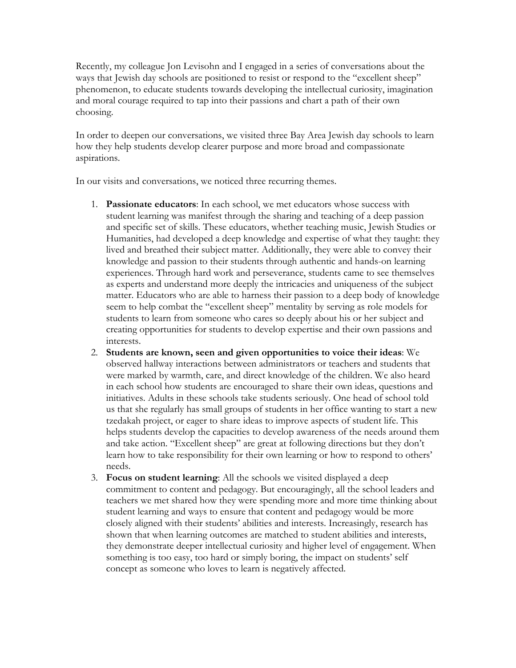Recently, my colleague Jon Levisohn and I engaged in a series of conversations about the ways that Jewish day schools are positioned to resist or respond to the "excellent sheep" phenomenon, to educate students towards developing the intellectual curiosity, imagination and moral courage required to tap into their passions and chart a path of their own choosing.

In order to deepen our conversations, we visited three Bay Area Jewish day schools to learn how they help students develop clearer purpose and more broad and compassionate aspirations.

In our visits and conversations, we noticed three recurring themes.

- 1. **Passionate educators**: In each school, we met educators whose success with student learning was manifest through the sharing and teaching of a deep passion and specific set of skills. These educators, whether teaching music, Jewish Studies or Humanities, had developed a deep knowledge and expertise of what they taught: they lived and breathed their subject matter. Additionally, they were able to convey their knowledge and passion to their students through authentic and hands-on learning experiences. Through hard work and perseverance, students came to see themselves as experts and understand more deeply the intricacies and uniqueness of the subject matter. Educators who are able to harness their passion to a deep body of knowledge seem to help combat the "excellent sheep" mentality by serving as role models for students to learn from someone who cares so deeply about his or her subject and creating opportunities for students to develop expertise and their own passions and interests.
- 2. **Students are known, seen and given opportunities to voice their ideas**: We observed hallway interactions between administrators or teachers and students that were marked by warmth, care, and direct knowledge of the children. We also heard in each school how students are encouraged to share their own ideas, questions and initiatives. Adults in these schools take students seriously. One head of school told us that she regularly has small groups of students in her office wanting to start a new tzedakah project, or eager to share ideas to improve aspects of student life. This helps students develop the capacities to develop awareness of the needs around them and take action. "Excellent sheep" are great at following directions but they don't learn how to take responsibility for their own learning or how to respond to others' needs.
- 3. **Focus on student learning**: All the schools we visited displayed a deep commitment to content and pedagogy. But encouragingly, all the school leaders and teachers we met shared how they were spending more and more time thinking about student learning and ways to ensure that content and pedagogy would be more closely aligned with their students' abilities and interests. Increasingly, research has shown that when learning outcomes are matched to student abilities and interests, they demonstrate deeper intellectual curiosity and higher level of engagement. When something is too easy, too hard or simply boring, the impact on students' self concept as someone who loves to learn is negatively affected.